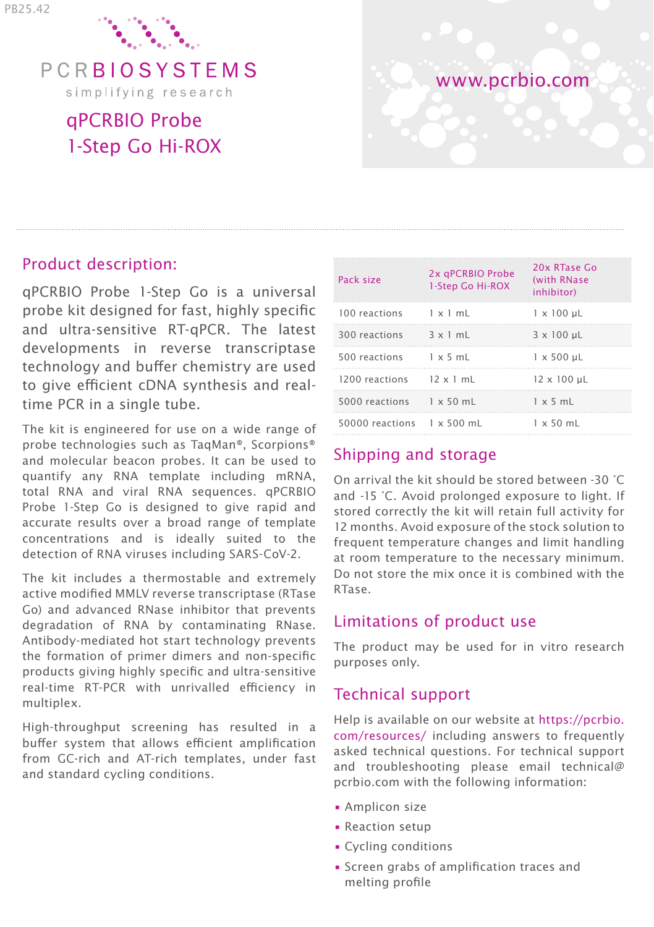

PCRBIOSYSTEMS simplifying research

# qPCRBIO Probe 1-Step Go Hi-ROX



#### Product description:

qPCRBIO Probe 1-Step Go is a universal probe kit designed for fast, highly specific and ultra-sensitive RT-qPCR. The latest developments in reverse transcriptase technology and buffer chemistry are used to give efficient cDNA synthesis and realtime PCR in a single tube.

The kit is engineered for use on a wide range of probe technologies such as TaqMan®, Scorpions® and molecular beacon probes. It can be used to quantify any RNA template including mRNA, total RNA and viral RNA sequences. qPCRBIO Probe 1-Step Go is designed to give rapid and accurate results over a broad range of template concentrations and is ideally suited to the detection of RNA viruses including SARS-CoV-2.

The kit includes a thermostable and extremely active modified MMLV reverse transcriptase (RTase Go) and advanced RNase inhibitor that prevents degradation of RNA by contaminating RNase. Antibody-mediated hot start technology prevents the formation of primer dimers and non-specific products giving highly specific and ultra-sensitive real-time RT-PCR with unrivalled efficiency in multiplex.

High-throughput screening has resulted in a buffer system that allows efficient amplification from GC-rich and AT-rich templates, under fast and standard cycling conditions.

| Pack size                           | 2x qPCRBIO Probe<br>1-Step Go Hi-ROX | 20x RTase Go<br>(with RNase)<br>inhibitor) |
|-------------------------------------|--------------------------------------|--------------------------------------------|
| 100 reactions 1 x 1 mL              |                                      | $1 \times 100$ uL                          |
| 300 reactions 3 x 1 mL              |                                      | $3 \times 100$ uL                          |
| 500 reactions 1 x 5 mL              |                                      | $1 \times 500$ uL                          |
| 1200 reactions $12 \times 1$ mL     |                                      | $12 \times 100$ uL                         |
| $5000$ reactions $1 \times 50$ mL   |                                      | $1 \times 5$ mL                            |
| $50000$ reactions $1 \times 500$ mL |                                      | $1 \times 50$ mL                           |

## Shipping and storage

On arrival the kit should be stored between -30 °C and -15 °C. Avoid prolonged exposure to light. If stored correctly the kit will retain full activity for 12 months. Avoid exposure of the stock solution to frequent temperature changes and limit handling at room temperature to the necessary minimum. Do not store the mix once it is combined with the RTase.

### Limitations of product use

The product may be used for in vitro research purposes only.

### Technical support

Help is available on our website at https://pcrbio. com/resources/ including answers to frequently asked technical questions. For technical support and troubleshooting please email technical@ pcrbio.com with the following information:

- Amplicon size
- Reaction setup
- Cycling conditions
- Screen grabs of amplification traces and melting profile